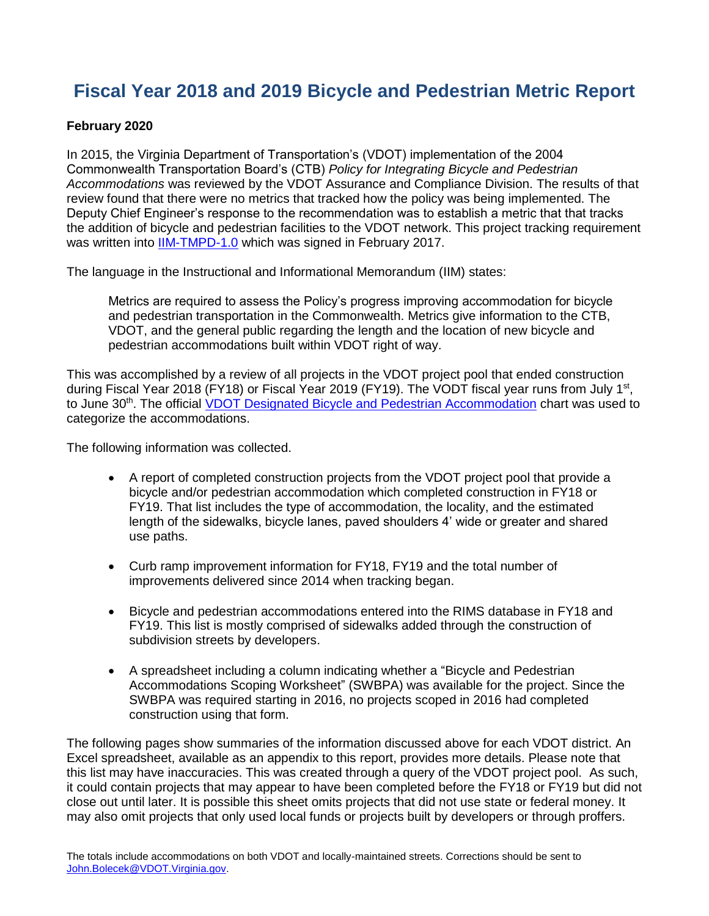# **Fiscal Year 2018 and 2019 Bicycle and Pedestrian Metric Report**

#### **February 2020**

In 2015, the Virginia Department of Transportation's (VDOT) implementation of the 2004 Commonwealth Transportation Board's (CTB) *Policy for Integrating Bicycle and Pedestrian Accommodations* was reviewed by the VDOT Assurance and Compliance Division. The results of that review found that there were no metrics that tracked how the policy was being implemented. The Deputy Chief Engineer's response to the recommendation was to establish a metric that that tracks the addition of bicycle and pedestrian facilities to the VDOT network. This project tracking requirement was written into [IIM-TMPD-1.0](http://www.virginiadot.org/business/resources/IIM/TMPD-1.0_Implementation_of_the_CTB_Policy_for_Integrating_Bicycle_and_Pedestrian_Accommodaitons.pdf) which was signed in February 2017.

The language in the Instructional and Informational Memorandum (IIM) states:

Metrics are required to assess the Policy's progress improving accommodation for bicycle and pedestrian transportation in the Commonwealth. Metrics give information to the CTB, VDOT, and the general public regarding the length and the location of new bicycle and pedestrian accommodations built within VDOT right of way.

This was accomplished by a review of all projects in the VDOT project pool that ended construction during Fiscal Year 2018 (FY18) or Fiscal Year 2019 (FY19). The VODT fiscal year runs from July 1<sup>st</sup>, to June 30<sup>th</sup>. The official *VDOT Designated Bicycle and Pedestrian Accommodation* chart was used to categorize the accommodations.

The following information was collected.

- A report of completed construction projects from the VDOT project pool that provide a bicycle and/or pedestrian accommodation which completed construction in FY18 or FY19. That list includes the type of accommodation, the locality, and the estimated length of the sidewalks, bicycle lanes, paved shoulders 4' wide or greater and shared use paths.
- Curb ramp improvement information for FY18, FY19 and the total number of improvements delivered since 2014 when tracking began.
- Bicycle and pedestrian accommodations entered into the RIMS database in FY18 and FY19. This list is mostly comprised of sidewalks added through the construction of subdivision streets by developers.
- A spreadsheet including a column indicating whether a "Bicycle and Pedestrian Accommodations Scoping Worksheet" (SWBPA) was available for the project. Since the SWBPA was required starting in 2016, no projects scoped in 2016 had completed construction using that form.

The following pages show summaries of the information discussed above for each VDOT district. An Excel spreadsheet, available as an appendix to this report, provides more details. Please note that this list may have inaccuracies. This was created through a query of the VDOT project pool. As such, it could contain projects that may appear to have been completed before the FY18 or FY19 but did not close out until later. It is possible this sheet omits projects that did not use state or federal money. It may also omit projects that only used local funds or projects built by developers or through proffers.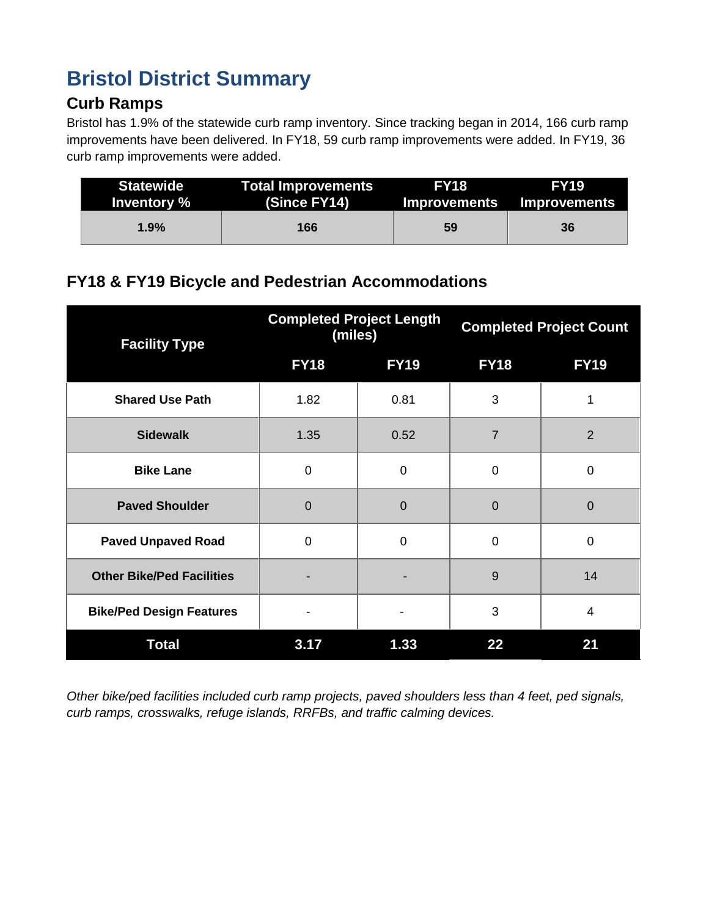# **Bristol District Summary**

### **Curb Ramps**

Bristol has 1.9% of the statewide curb ramp inventory. Since tracking began in 2014, 166 curb ramp improvements have been delivered. In FY18, 59 curb ramp improvements were added. In FY19, 36 curb ramp improvements were added.

| <b>Statewide</b><br>Inventory % | <b>Total Improvements</b><br>(Since FY14) | <b>FY18</b> | <b>FY19</b><br>Improvements Improvements |
|---------------------------------|-------------------------------------------|-------------|------------------------------------------|
| 1.9%                            | 166                                       | 59          | 36                                       |

# **FY18 & FY19 Bicycle and Pedestrian Accommodations**

| <b>Facility Type</b>             | <b>Completed Project Length</b><br>(miles) |                | <b>Completed Project Count</b> |                |
|----------------------------------|--------------------------------------------|----------------|--------------------------------|----------------|
|                                  | <b>FY18</b>                                | <b>FY19</b>    | <b>FY18</b>                    | <b>FY19</b>    |
| <b>Shared Use Path</b>           | 1.82                                       | 0.81           | 3                              | 1              |
| <b>Sidewalk</b>                  | 1.35                                       | 0.52           | 7                              | $\overline{2}$ |
| <b>Bike Lane</b>                 | $\mathbf 0$                                | $\mathbf 0$    | $\mathbf 0$                    | $\mathbf 0$    |
| <b>Paved Shoulder</b>            | $\overline{0}$                             | $\overline{0}$ | $\Omega$                       | $\overline{0}$ |
| <b>Paved Unpaved Road</b>        | $\mathbf 0$                                | $\mathbf 0$    | $\mathbf 0$                    | $\mathbf 0$    |
| <b>Other Bike/Ped Facilities</b> |                                            |                | 9                              | 14             |
| <b>Bike/Ped Design Features</b>  |                                            |                | 3                              | 4              |
| <b>Total</b>                     | 3.17                                       | 1.33           | 22                             | 21             |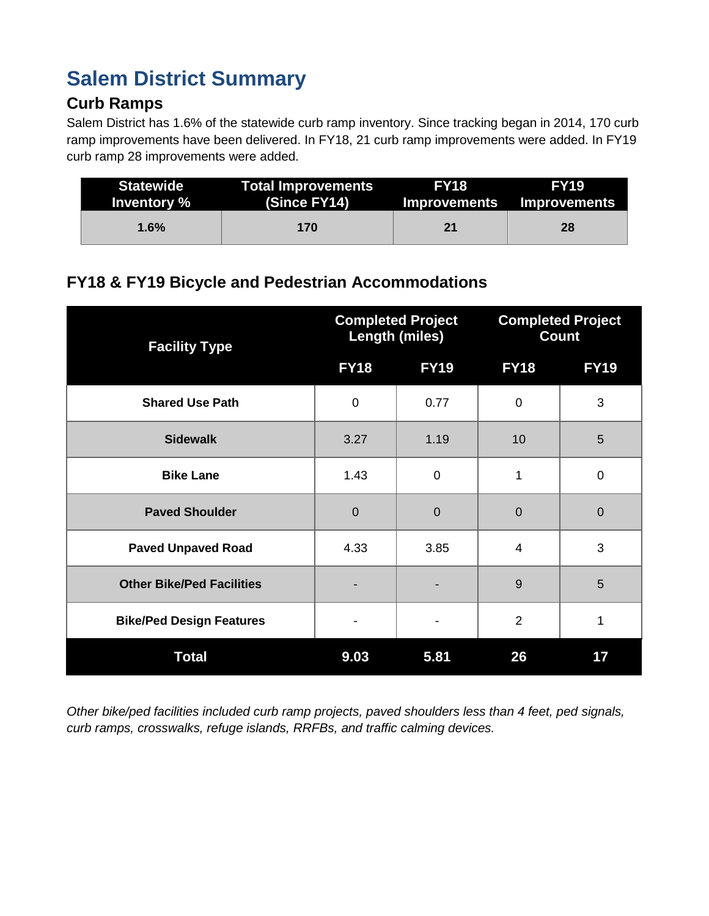# **Salem District Summary**

### **Curb Ramps**

Salem District has 1.6% of the statewide curb ramp inventory. Since tracking began in 2014, 170 curb ramp improvements have been delivered. In FY18, 21 curb ramp improvements were added. In FY19 curb ramp 28 improvements were added.

| <b>Statewide</b> | <b>Total Improvements</b> | <b>FY18</b> | <b>FY19</b>               |
|------------------|---------------------------|-------------|---------------------------|
| Inventory %      | (Since FY14)              |             | Improvements Improvements |
| $1.6\%$          | 170                       | 21          | 28                        |

### **FY18 & FY19 Bicycle and Pedestrian Accommodations**

| <b>Facility Type</b>             | <b>Completed Project</b><br><b>Length (miles)</b> |             | <b>Completed Project</b><br><b>Count</b> |                |
|----------------------------------|---------------------------------------------------|-------------|------------------------------------------|----------------|
|                                  | <b>FY18</b>                                       | <b>FY19</b> | <b>FY18</b>                              | <b>FY19</b>    |
| <b>Shared Use Path</b>           | $\mathbf 0$                                       | 0.77        | $\mathbf 0$                              | 3              |
| <b>Sidewalk</b>                  | 3.27                                              | 1.19        | 10                                       | 5              |
| <b>Bike Lane</b>                 | 1.43                                              | $\mathbf 0$ | 1                                        | $\mathbf 0$    |
| <b>Paved Shoulder</b>            | $\overline{0}$                                    | $\mathbf 0$ | $\overline{0}$                           | $\overline{0}$ |
| <b>Paved Unpaved Road</b>        | 4.33                                              | 3.85        | $\overline{4}$                           | 3              |
| <b>Other Bike/Ped Facilities</b> |                                                   |             | 9                                        | 5              |
| <b>Bike/Ped Design Features</b>  |                                                   |             | $\overline{2}$                           | 1              |
| <b>Total</b>                     | 9.03                                              | 5.81        | 26                                       | 17             |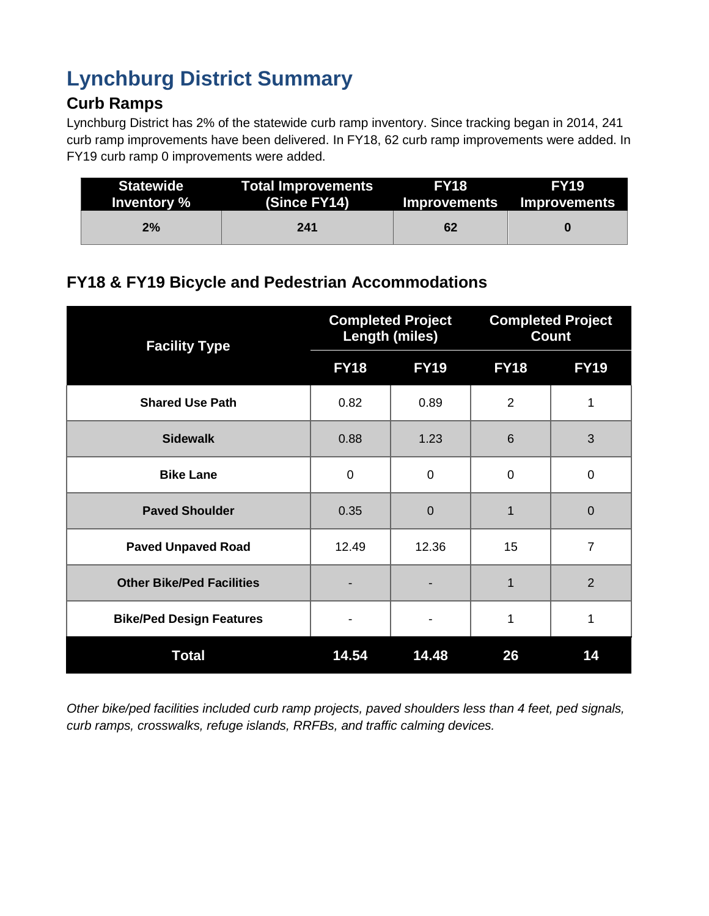# **Lynchburg District Summary**

## **Curb Ramps**

Lynchburg District has 2% of the statewide curb ramp inventory. Since tracking began in 2014, 241 curb ramp improvements have been delivered. In FY18, 62 curb ramp improvements were added. In FY19 curb ramp 0 improvements were added.

| <b>Statewide</b> | <b>Total Improvements</b> | <b>FY18</b> | <b>FY19</b>               |
|------------------|---------------------------|-------------|---------------------------|
| Inventory %      | (Since FY14)              |             | Improvements Improvements |
| 2%               | 241                       | 62          |                           |

### **FY18 & FY19 Bicycle and Pedestrian Accommodations**

| <b>Facility Type</b>             | <b>Completed Project</b><br><b>Length (miles)</b> |             | <b>Completed Project</b><br><b>Count</b> |                |
|----------------------------------|---------------------------------------------------|-------------|------------------------------------------|----------------|
|                                  | <b>FY18</b>                                       | <b>FY19</b> | <b>FY18</b>                              | <b>FY19</b>    |
| <b>Shared Use Path</b>           | 0.82                                              | 0.89        | $\overline{2}$                           | 1              |
| <b>Sidewalk</b>                  | 0.88                                              | 1.23        | 6                                        | 3              |
| <b>Bike Lane</b>                 | $\mathbf 0$                                       | 0           | 0                                        | $\mathbf 0$    |
| <b>Paved Shoulder</b>            | 0.35                                              | $\mathbf 0$ | 1                                        | $\overline{0}$ |
| <b>Paved Unpaved Road</b>        | 12.49                                             | 12.36       | 15                                       | $\overline{7}$ |
| <b>Other Bike/Ped Facilities</b> |                                                   |             | 1                                        | $\overline{2}$ |
| <b>Bike/Ped Design Features</b>  |                                                   |             | 1                                        | 1              |
| <b>Total</b>                     | 14.54                                             | 14.48       | 26                                       | 14             |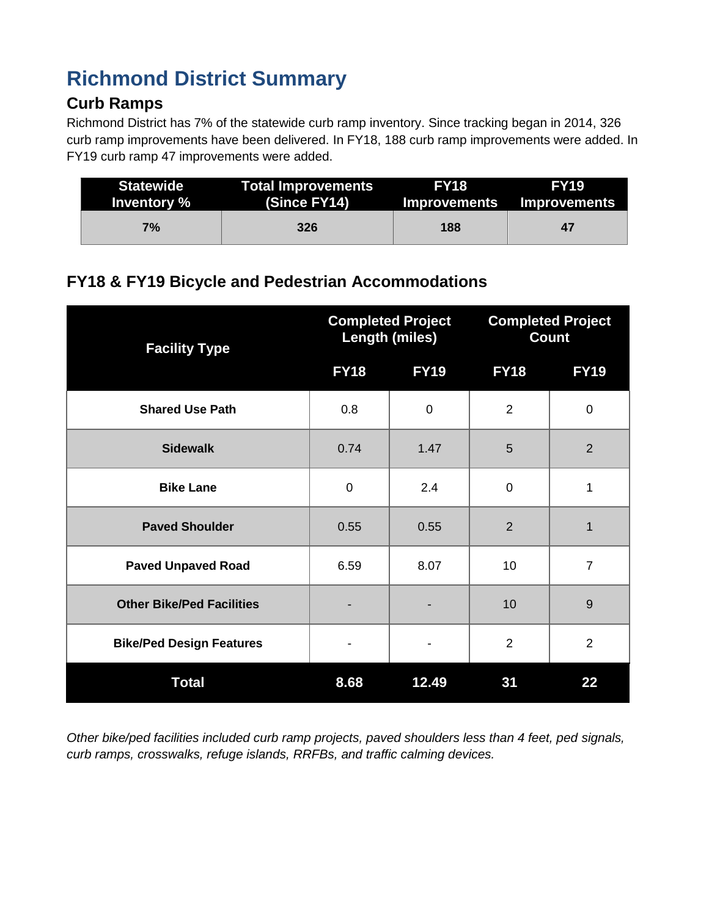# **Richmond District Summary**

### **Curb Ramps**

Richmond District has 7% of the statewide curb ramp inventory. Since tracking began in 2014, 326 curb ramp improvements have been delivered. In FY18, 188 curb ramp improvements were added. In FY19 curb ramp 47 improvements were added.

| <b>Statewide</b> | <b>Total Improvements</b> | <b>FY18</b> | <b>FY19</b>               |
|------------------|---------------------------|-------------|---------------------------|
| Inventory %      | <b>(Since FY14)</b>       |             | Improvements Improvements |
| 7%               | 326                       | 188         | 47                        |

# **FY18 & FY19 Bicycle and Pedestrian Accommodations**

| <b>Facility Type</b>             | <b>Completed Project</b><br><b>Length (miles)</b> |             | <b>Completed Project</b><br><b>Count</b> |                |
|----------------------------------|---------------------------------------------------|-------------|------------------------------------------|----------------|
|                                  | <b>FY18</b>                                       | <b>FY19</b> | <b>FY18</b>                              | <b>FY19</b>    |
| <b>Shared Use Path</b>           | 0.8                                               | $\pmb{0}$   | $\overline{2}$                           | $\mathbf 0$    |
| <b>Sidewalk</b>                  | 0.74                                              | 1.47        | 5                                        | 2              |
| <b>Bike Lane</b>                 | $\mathbf 0$                                       | 2.4         | 0                                        | 1              |
| <b>Paved Shoulder</b>            | 0.55                                              | 0.55        | $\overline{2}$                           | 1              |
| <b>Paved Unpaved Road</b>        | 6.59                                              | 8.07        | 10                                       | $\overline{7}$ |
| <b>Other Bike/Ped Facilities</b> |                                                   |             | 10                                       | 9              |
| <b>Bike/Ped Design Features</b>  |                                                   | -           | $\overline{2}$                           | $\overline{2}$ |
| <b>Total</b>                     | 8.68                                              | 12.49       | 31                                       | 22             |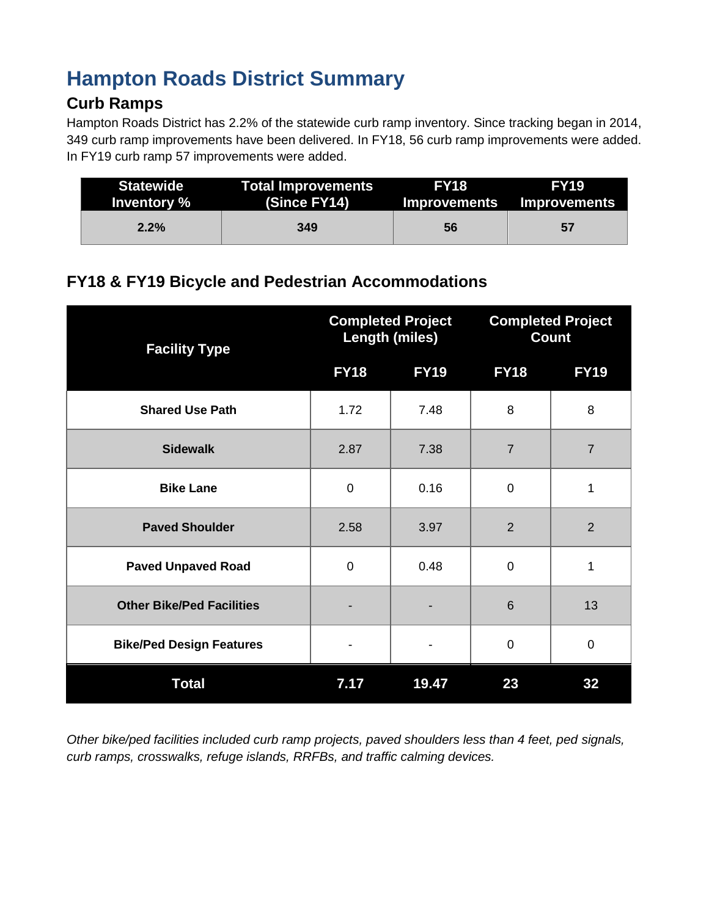# **Hampton Roads District Summary**

#### **Curb Ramps**

Hampton Roads District has 2.2% of the statewide curb ramp inventory. Since tracking began in 2014, 349 curb ramp improvements have been delivered. In FY18, 56 curb ramp improvements were added. In FY19 curb ramp 57 improvements were added.

| <b>Statewide</b> | <b>Total Improvements</b> | <b>FY18</b> | <b>FY19</b>               |
|------------------|---------------------------|-------------|---------------------------|
| Inventory %      | (Since FY14)              |             | Improvements Improvements |
| 2.2%             | 349                       | 56          | 57                        |

# **FY18 & FY19 Bicycle and Pedestrian Accommodations**

| <b>Facility Type</b>             | <b>Completed Project</b><br><b>Length (miles)</b> |             | <b>Completed Project</b><br><b>Count</b> |                |
|----------------------------------|---------------------------------------------------|-------------|------------------------------------------|----------------|
|                                  | <b>FY18</b>                                       | <b>FY19</b> | <b>FY18</b>                              | <b>FY19</b>    |
| <b>Shared Use Path</b>           | 1.72                                              | 7.48        | 8                                        | 8              |
| <b>Sidewalk</b>                  | 2.87                                              | 7.38        | $\overline{7}$                           | $\overline{7}$ |
| <b>Bike Lane</b>                 | 0                                                 | 0.16        | $\Omega$                                 | 1              |
| <b>Paved Shoulder</b>            | 2.58                                              | 3.97        | $\overline{2}$                           | $\overline{2}$ |
| <b>Paved Unpaved Road</b>        | $\mathbf 0$                                       | 0.48        | $\mathbf 0$                              | 1              |
| <b>Other Bike/Ped Facilities</b> |                                                   |             | 6                                        | 13             |
| <b>Bike/Ped Design Features</b>  |                                                   |             | $\Omega$                                 | $\mathbf 0$    |
| <b>Total</b>                     | 7.17                                              | 19.47       | 23                                       | 32             |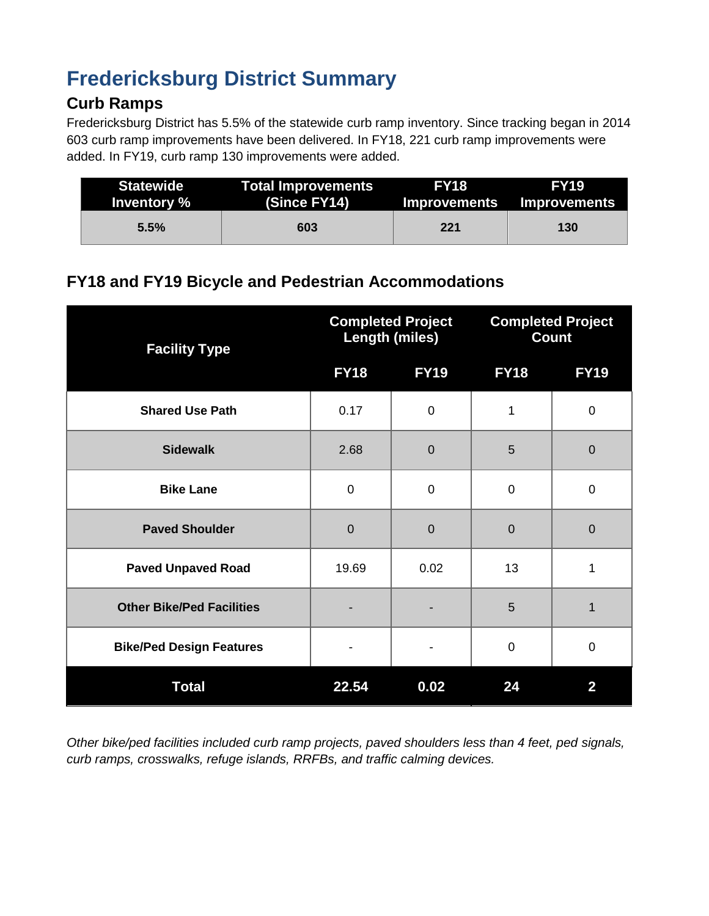# **Fredericksburg District Summary**

### **Curb Ramps**

Fredericksburg District has 5.5% of the statewide curb ramp inventory. Since tracking began in 2014 603 curb ramp improvements have been delivered. In FY18, 221 curb ramp improvements were added. In FY19, curb ramp 130 improvements were added.

| <b>Statewide</b> | <b>Total Improvements</b> | <b>FY18</b> | <b>FY19</b>               |
|------------------|---------------------------|-------------|---------------------------|
| Inventory %      | (Since FY14)              |             | Improvements Improvements |
| 5.5%             | 603                       | 221         | 130                       |

### **FY18 and FY19 Bicycle and Pedestrian Accommodations**

| <b>Facility Type</b>             | <b>Completed Project</b><br><b>Length (miles)</b> |                | <b>Completed Project</b><br><b>Count</b> |                |
|----------------------------------|---------------------------------------------------|----------------|------------------------------------------|----------------|
|                                  | <b>FY18</b>                                       | <b>FY19</b>    | <b>FY18</b>                              | <b>FY19</b>    |
| <b>Shared Use Path</b>           | 0.17                                              | $\mathbf 0$    | 1                                        | $\mathbf 0$    |
| <b>Sidewalk</b>                  | 2.68                                              | $\overline{0}$ | 5                                        | $\mathbf 0$    |
| <b>Bike Lane</b>                 | 0                                                 | $\mathbf 0$    | $\mathbf 0$                              | $\mathbf 0$    |
| <b>Paved Shoulder</b>            | $\mathbf 0$                                       | $\mathbf 0$    | $\mathbf 0$                              | $\overline{0}$ |
| <b>Paved Unpaved Road</b>        | 19.69                                             | 0.02           | 13                                       | 1              |
| <b>Other Bike/Ped Facilities</b> |                                                   |                | 5                                        | 1              |
| <b>Bike/Ped Design Features</b>  |                                                   |                | $\mathbf 0$                              | $\mathbf 0$    |
| <b>Total</b>                     | 22.54                                             | 0.02           | 24                                       | $\overline{2}$ |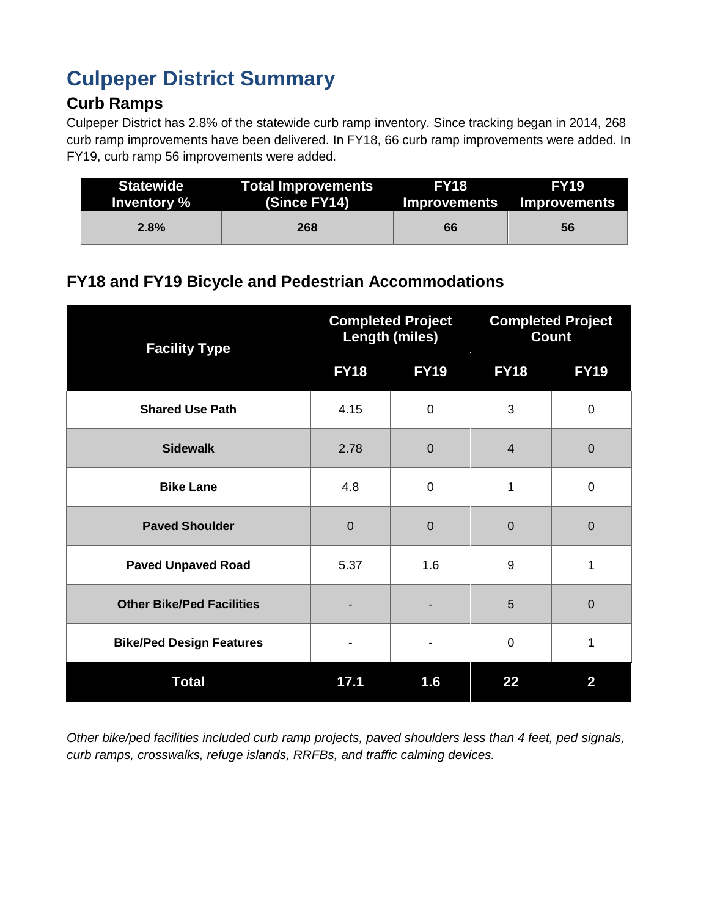# **Culpeper District Summary**

# **Curb Ramps**

Culpeper District has 2.8% of the statewide curb ramp inventory. Since tracking began in 2014, 268 curb ramp improvements have been delivered. In FY18, 66 curb ramp improvements were added. In FY19, curb ramp 56 improvements were added.

| <b>Statewide</b> | <b>Total Improvements</b> | <b>FY18</b> | <b>FY19</b>               |  |
|------------------|---------------------------|-------------|---------------------------|--|
| Inventory %      | (Since FY14)              |             | Improvements Improvements |  |
| 2.8%             | 268                       | 66          | 56                        |  |

### **FY18 and FY19 Bicycle and Pedestrian Accommodations**

| <b>Facility Type</b>             | <b>Completed Project</b><br><b>Length (miles)</b> |             | <b>Completed Project</b><br><b>Count</b> |             |
|----------------------------------|---------------------------------------------------|-------------|------------------------------------------|-------------|
|                                  | <b>FY18</b>                                       | <b>FY19</b> | <b>FY18</b>                              | <b>FY19</b> |
| <b>Shared Use Path</b>           | 4.15                                              | $\mathbf 0$ | 3                                        | $\mathbf 0$ |
| <b>Sidewalk</b>                  | 2.78                                              | $\mathbf 0$ | $\overline{4}$                           | $\mathbf 0$ |
| <b>Bike Lane</b>                 | 4.8                                               | 0           | 1                                        | $\mathbf 0$ |
| <b>Paved Shoulder</b>            | $\overline{0}$                                    | $\mathbf 0$ | $\overline{0}$                           | $\mathbf 0$ |
| <b>Paved Unpaved Road</b>        | 5.37                                              | 1.6         | 9                                        | 1           |
| <b>Other Bike/Ped Facilities</b> |                                                   |             | 5                                        | $\mathbf 0$ |
| <b>Bike/Ped Design Features</b>  |                                                   |             | $\mathbf 0$                              | 1           |
| <b>Total</b>                     | 17.1                                              | 1.6         | 22                                       | 2           |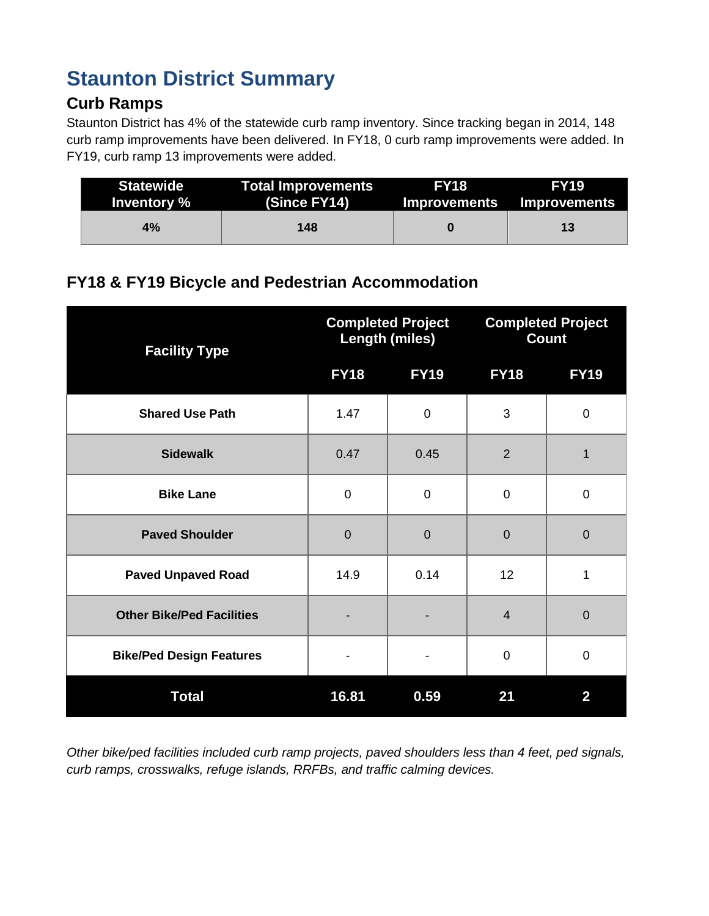# **Staunton District Summary**

### **Curb Ramps**

Staunton District has 4% of the statewide curb ramp inventory. Since tracking began in 2014, 148 curb ramp improvements have been delivered. In FY18, 0 curb ramp improvements were added. In FY19, curb ramp 13 improvements were added.

| <b>Statewide</b><br>Inventory % | <b>Total Improvements</b><br>(Since FY14) | <b>FY18</b> | <b>FY19.</b><br>Improvements Improvements |  |
|---------------------------------|-------------------------------------------|-------------|-------------------------------------------|--|
| 4%                              | 148                                       |             | 13                                        |  |

# **FY18 & FY19 Bicycle and Pedestrian Accommodation**

| <b>Facility Type</b>             | <b>Completed Project</b><br><b>Length (miles)</b> |                | <b>Completed Project</b><br><b>Count</b> |                |
|----------------------------------|---------------------------------------------------|----------------|------------------------------------------|----------------|
|                                  | <b>FY18</b>                                       | <b>FY19</b>    | <b>FY18</b>                              | <b>FY19</b>    |
| <b>Shared Use Path</b>           | 1.47                                              | 0              | 3                                        | $\mathbf 0$    |
| <b>Sidewalk</b>                  | 0.47                                              | 0.45           | $\overline{2}$                           | 1              |
| <b>Bike Lane</b>                 | $\mathbf 0$                                       | 0              | 0                                        | $\mathbf 0$    |
| <b>Paved Shoulder</b>            | $\Omega$                                          | $\overline{0}$ | $\overline{0}$                           | $\overline{0}$ |
| <b>Paved Unpaved Road</b>        | 14.9                                              | 0.14           | 12                                       | 1              |
| <b>Other Bike/Ped Facilities</b> |                                                   |                | $\overline{4}$                           | $\overline{0}$ |
| <b>Bike/Ped Design Features</b>  |                                                   |                | $\mathbf 0$                              | $\mathbf 0$    |
| <b>Total</b>                     | 16.81                                             | 0.59           | 21                                       | $\overline{2}$ |